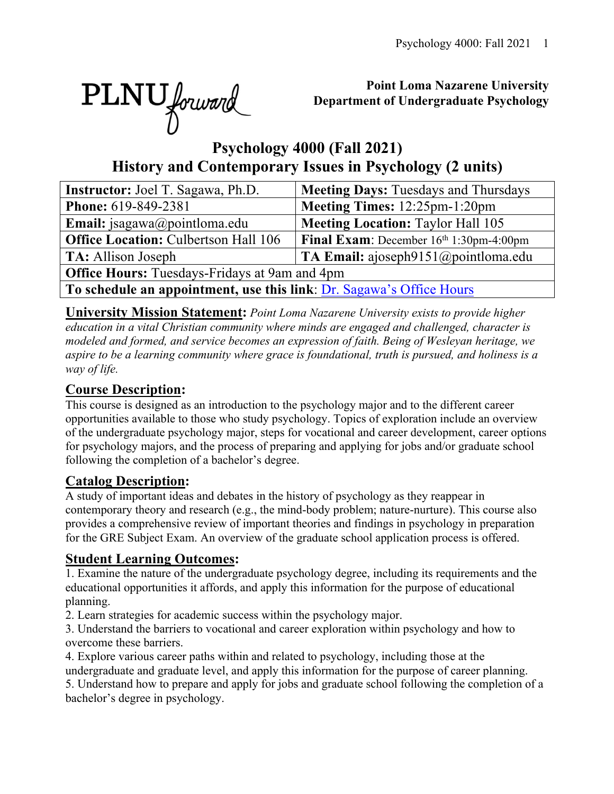

# **Point Loma Nazarene University Department of Undergraduate Psychology**

# **Psychology 4000 (Fall 2021) History and Contemporary Issues in Psychology (2 units)**

| <b>Instructor:</b> Joel T. Sagawa, Ph.D.                             | <b>Meeting Days: Tuesdays and Thursdays</b>       |  |  |  |  |  |  |
|----------------------------------------------------------------------|---------------------------------------------------|--|--|--|--|--|--|
| <b>Phone:</b> 619-849-2381                                           | Meeting Times: 12:25pm-1:20pm                     |  |  |  |  |  |  |
| <b>Email:</b> jsagawa@pointloma.edu                                  | <b>Meeting Location: Taylor Hall 105</b>          |  |  |  |  |  |  |
| <b>Office Location: Culbertson Hall 106</b>                          | <b>Final Exam:</b> December $16th 1:30$ pm-4:00pm |  |  |  |  |  |  |
| <b>TA:</b> Allison Joseph                                            | TA Email: ajoseph $9151$ @pointloma.edu           |  |  |  |  |  |  |
| <b>Office Hours:</b> Tuesdays-Fridays at 9am and 4pm                 |                                                   |  |  |  |  |  |  |
| To schedule an appointment, use this link: Dr. Sagawa's Office Hours |                                                   |  |  |  |  |  |  |

**University Mission Statement:** *Point Loma Nazarene University exists to provide higher education in a vital Christian community where minds are engaged and challenged, character is modeled and formed, and service becomes an expression of faith. Being of Wesleyan heritage, we aspire to be a learning community where grace is foundational, truth is pursued, and holiness is a way of life.*

# **Course Description:**

This course is designed as an introduction to the psychology major and to the different career opportunities available to those who study psychology. Topics of exploration include an overview of the undergraduate psychology major, steps for vocational and career development, career options for psychology majors, and the process of preparing and applying for jobs and/or graduate school following the completion of a bachelor's degree.

# **Catalog Description:**

A study of important ideas and debates in the history of psychology as they reappear in contemporary theory and research (e.g., the mind-body problem; nature-nurture). This course also provides a comprehensive review of important theories and findings in psychology in preparation for the GRE Subject Exam. An overview of the graduate school application process is offered.

# **Student Learning Outcomes:**

1. Examine the nature of the undergraduate psychology degree, including its requirements and the educational opportunities it affords, and apply this information for the purpose of educational planning.

2. Learn strategies for academic success within the psychology major.

3. Understand the barriers to vocational and career exploration within psychology and how to overcome these barriers.

4. Explore various career paths within and related to psychology, including those at the undergraduate and graduate level, and apply this information for the purpose of career planning.

5. Understand how to prepare and apply for jobs and graduate school following the completion of a bachelor's degree in psychology.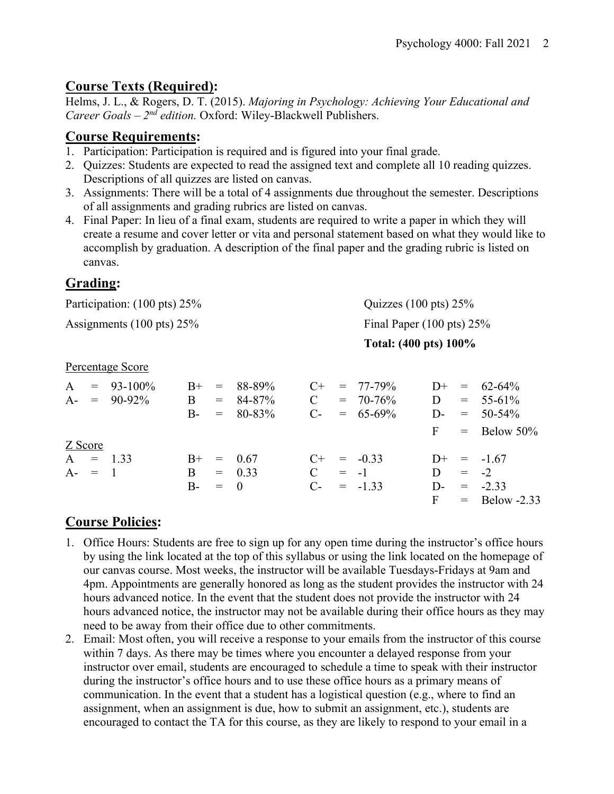# **Course Texts (Required):**

Helms, J. L., & Rogers, D. T. (2015). *Majoring in Psychology: Achieving Your Educational and Career Goals – 2nd edition.* Oxford: Wiley-Blackwell Publishers.

## **Course Requirements:**

- 1. Participation: Participation is required and is figured into your final grade.
- 2. Quizzes: Students are expected to read the assigned text and complete all 10 reading quizzes. Descriptions of all quizzes are listed on canvas.
- 3. Assignments: There will be a total of 4 assignments due throughout the semester. Descriptions of all assignments and grading rubrics are listed on canvas.
- 4. Final Paper: In lieu of a final exam, students are required to write a paper in which they will create a resume and cover letter or vita and personal statement based on what they would like to accomplish by graduation. A description of the final paper and the grading rubric is listed on canvas.

# **Grading:**

| Participation: (100 pts) 25%                  |                             |                   |                                        |                                    |                                      | Quizzes $(100 \text{ pts}) 25\%$ |                                          |                                    |                          |                                                          |  |
|-----------------------------------------------|-----------------------------|-------------------|----------------------------------------|------------------------------------|--------------------------------------|----------------------------------|------------------------------------------|------------------------------------|--------------------------|----------------------------------------------------------|--|
| Assignments $(100 \text{ pts}) 25\%$          |                             |                   |                                        |                                    | Final Paper $(100 \text{ pts}) 25\%$ |                                  |                                          |                                    |                          |                                                          |  |
|                                               |                             |                   |                                        |                                    | Total: (400 pts) 100%                |                                  |                                          |                                    |                          |                                                          |  |
| Percentage Score                              |                             |                   |                                        |                                    |                                      |                                  |                                          |                                    |                          |                                                          |  |
| A<br>$=$<br>$A-$<br>$\alpha = 1$              | $93 - 100\%$<br>$90 - 92\%$ | $B+$<br>B<br>$B-$ | $=$<br>$=$<br>$=$                      | 88-89%<br>84-87%<br>80-83%         | $C+$<br>$\mathbf C$<br>$C-$          | $=$                              | $= 77 - 79\%$<br>$= 70 - 76\%$<br>65-69% | $D+$<br>D<br>$D-$<br>$\mathbf{F}$  | $=$<br>$=$<br>$=$<br>$=$ | $62 - 64\%$<br>$55 - 61\%$<br>$50 - 54%$<br>Below $50\%$ |  |
| Z Score<br>$\mathbf{A}$<br>$=$<br>$A-$<br>$=$ | 1.33<br>$\blacksquare$      | $B+$<br>B<br>$B-$ | $\displaystyle \qquad \qquad =$<br>$=$ | 0.67<br>$= 0.33$<br>$\overline{0}$ | $C_{\pm}$<br>$\mathcal{C}$<br>$C$ -  | $= -1$                           | $= -0.33$<br>$= -1.33$                   | $D+$<br>D<br>$D$ -<br>$\mathbf{F}$ | $=$<br>$= -2$<br>$=$     | $-1.67$<br>$= -2.33$<br>Below $-2.33$                    |  |

## **Course Policies:**

- 1. Office Hours: Students are free to sign up for any open time during the instructor's office hours by using the link located at the top of this syllabus or using the link located on the homepage of our canvas course. Most weeks, the instructor will be available Tuesdays-Fridays at 9am and 4pm. Appointments are generally honored as long as the student provides the instructor with 24 hours advanced notice. In the event that the student does not provide the instructor with 24 hours advanced notice, the instructor may not be available during their office hours as they may need to be away from their office due to other commitments.
- 2. Email: Most often, you will receive a response to your emails from the instructor of this course within 7 days. As there may be times where you encounter a delayed response from your instructor over email, students are encouraged to schedule a time to speak with their instructor during the instructor's office hours and to use these office hours as a primary means of communication. In the event that a student has a logistical question (e.g., where to find an assignment, when an assignment is due, how to submit an assignment, etc.), students are encouraged to contact the TA for this course, as they are likely to respond to your email in a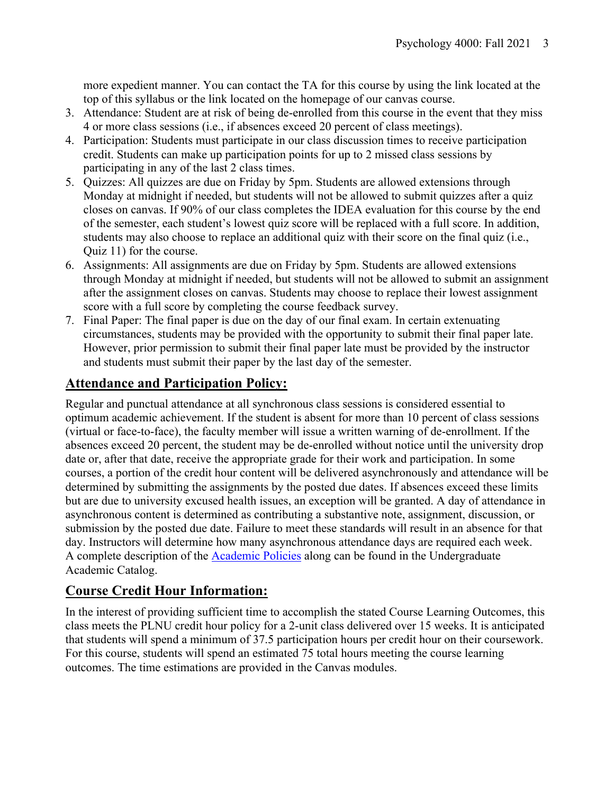more expedient manner. You can contact the TA for this course by using the link located at the top of this syllabus or the link located on the homepage of our canvas course.

- 3. Attendance: Student are at risk of being de-enrolled from this course in the event that they miss 4 or more class sessions (i.e., if absences exceed 20 percent of class meetings).
- 4. Participation: Students must participate in our class discussion times to receive participation credit. Students can make up participation points for up to 2 missed class sessions by participating in any of the last 2 class times.
- 5. Quizzes: All quizzes are due on Friday by 5pm. Students are allowed extensions through Monday at midnight if needed, but students will not be allowed to submit quizzes after a quiz closes on canvas. If 90% of our class completes the IDEA evaluation for this course by the end of the semester, each student's lowest quiz score will be replaced with a full score. In addition, students may also choose to replace an additional quiz with their score on the final quiz (i.e., Quiz 11) for the course.
- 6. Assignments: All assignments are due on Friday by 5pm. Students are allowed extensions through Monday at midnight if needed, but students will not be allowed to submit an assignment after the assignment closes on canvas. Students may choose to replace their lowest assignment score with a full score by completing the course feedback survey.
- 7. Final Paper: The final paper is due on the day of our final exam. In certain extenuating circumstances, students may be provided with the opportunity to submit their final paper late. However, prior permission to submit their final paper late must be provided by the instructor and students must submit their paper by the last day of the semester.

# **Attendance and Participation Policy:**

Regular and punctual attendance at all synchronous class sessions is considered essential to optimum academic achievement. If the student is absent for more than 10 percent of class sessions (virtual or face-to-face), the faculty member will issue a written warning of de-enrollment. If the absences exceed 20 percent, the student may be de-enrolled without notice until the university drop date or, after that date, receive the appropriate grade for their work and participation. In some courses, a portion of the credit hour content will be delivered asynchronously and attendance will be determined by submitting the assignments by the posted due dates. If absences exceed these limits but are due to university excused health issues, an exception will be granted. A day of attendance in asynchronous content is determined as contributing a substantive note, assignment, discussion, or submission by the posted due date. Failure to meet these standards will result in an absence for that day. Instructors will determine how many asynchronous attendance days are required each week. A complete description of the **Academic Policies** along can be found in the Undergraduate Academic Catalog.

# **Course Credit Hour Information:**

In the interest of providing sufficient time to accomplish the stated Course Learning Outcomes, this class meets the PLNU credit hour policy for a 2-unit class delivered over 15 weeks. It is anticipated that students will spend a minimum of 37.5 participation hours per credit hour on their coursework. For this course, students will spend an estimated 75 total hours meeting the course learning outcomes. The time estimations are provided in the Canvas modules.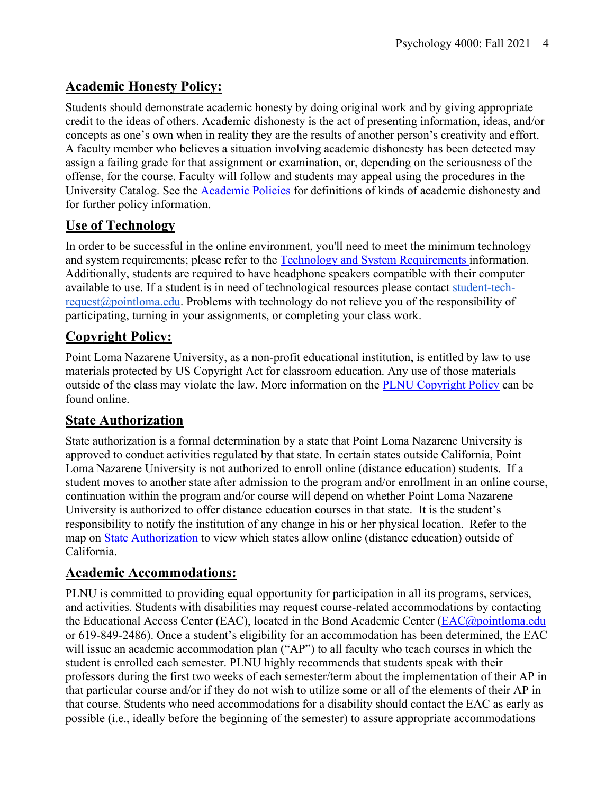# **Academic Honesty Policy:**

Students should demonstrate academic honesty by doing original work and by giving appropriate credit to the ideas of others. Academic dishonesty is the act of presenting information, ideas, and/or concepts as one's own when in reality they are the results of another person's creativity and effort. A faculty member who believes a situation involving academic dishonesty has been detected may assign a failing grade for that assignment or examination, or, depending on the seriousness of the offense, for the course. Faculty will follow and students may appeal using the procedures in the University Catalog. See the Academic Policies for definitions of kinds of academic dishonesty and for further policy information.

# **Use of Technology**

In order to be successful in the online environment, you'll need to meet the minimum technology and system requirements; please refer to the Technology and System Requirements information. Additionally, students are required to have headphone speakers compatible with their computer available to use. If a student is in need of technological resources please contact student-techrequest@pointloma.edu. Problems with technology do not relieve you of the responsibility of participating, turning in your assignments, or completing your class work.

# **Copyright Policy:**

Point Loma Nazarene University, as a non-profit educational institution, is entitled by law to use materials protected by US Copyright Act for classroom education. Any use of those materials outside of the class may violate the law. More information on the PLNU Copyright Policy can be found online.

# **State Authorization**

State authorization is a formal determination by a state that Point Loma Nazarene University is approved to conduct activities regulated by that state. In certain states outside California, Point Loma Nazarene University is not authorized to enroll online (distance education) students. If a student moves to another state after admission to the program and/or enrollment in an online course, continuation within the program and/or course will depend on whether Point Loma Nazarene University is authorized to offer distance education courses in that state. It is the student's responsibility to notify the institution of any change in his or her physical location. Refer to the map on State Authorization to view which states allow online (distance education) outside of California.

# **Academic Accommodations:**

PLNU is committed to providing equal opportunity for participation in all its programs, services, and activities. Students with disabilities may request course-related accommodations by contacting the Educational Access Center (EAC), located in the Bond Academic Center (EAC@pointloma.edu or 619-849-2486). Once a student's eligibility for an accommodation has been determined, the EAC will issue an academic accommodation plan ("AP") to all faculty who teach courses in which the student is enrolled each semester. PLNU highly recommends that students speak with their professors during the first two weeks of each semester/term about the implementation of their AP in that particular course and/or if they do not wish to utilize some or all of the elements of their AP in that course. Students who need accommodations for a disability should contact the EAC as early as possible (i.e., ideally before the beginning of the semester) to assure appropriate accommodations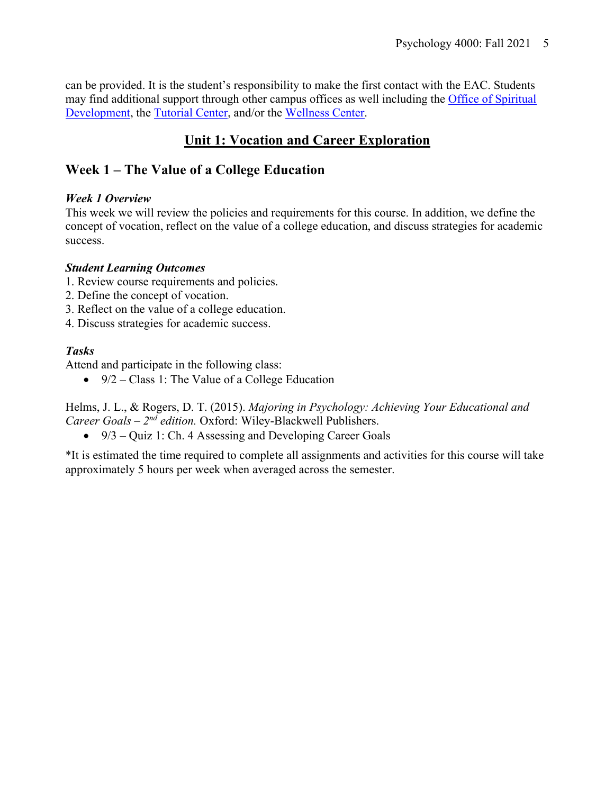can be provided. It is the student's responsibility to make the first contact with the EAC. Students may find additional support through other campus offices as well including the Office of Spiritual Development, the Tutorial Center, and/or the Wellness Center.

# **Unit 1: Vocation and Career Exploration**

# **Week 1 – The Value of a College Education**

## *Week 1 Overview*

This week we will review the policies and requirements for this course. In addition, we define the concept of vocation, reflect on the value of a college education, and discuss strategies for academic success.

## *Student Learning Outcomes*

- 1. Review course requirements and policies.
- 2. Define the concept of vocation.
- 3. Reflect on the value of a college education.
- 4. Discuss strategies for academic success.

## *Tasks*

Attend and participate in the following class:

•  $9/2$  – Class 1: The Value of a College Education

Helms, J. L., & Rogers, D. T. (2015). *Majoring in Psychology: Achieving Your Educational and Career Goals – 2nd edition.* Oxford: Wiley-Blackwell Publishers.

• 9/3 *–* Quiz 1: Ch. 4 Assessing and Developing Career Goals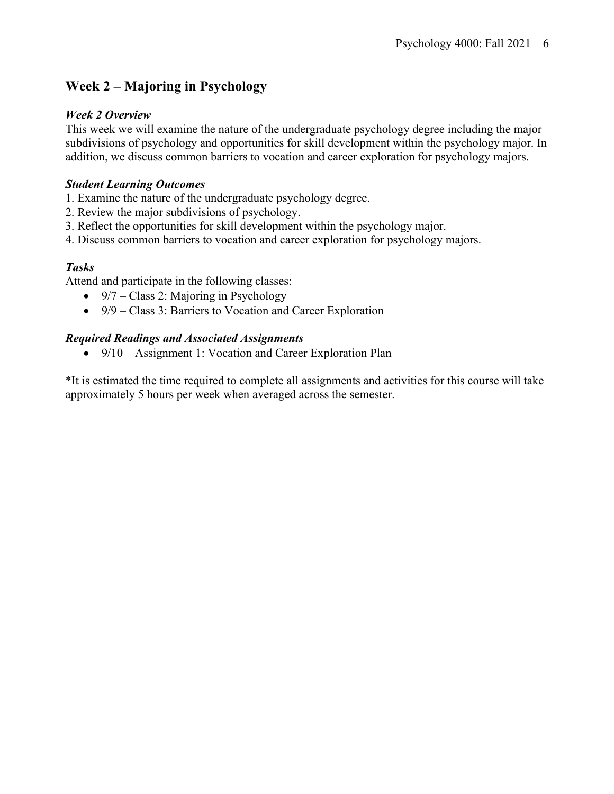# **Week 2 – Majoring in Psychology**

## *Week 2 Overview*

This week we will examine the nature of the undergraduate psychology degree including the major subdivisions of psychology and opportunities for skill development within the psychology major. In addition, we discuss common barriers to vocation and career exploration for psychology majors.

## *Student Learning Outcomes*

- 1. Examine the nature of the undergraduate psychology degree.
- 2. Review the major subdivisions of psychology.
- 3. Reflect the opportunities for skill development within the psychology major.
- 4. Discuss common barriers to vocation and career exploration for psychology majors.

## *Tasks*

Attend and participate in the following classes:

- 9/7 Class 2: Majoring in Psychology
- 9/9 Class 3: Barriers to Vocation and Career Exploration

## *Required Readings and Associated Assignments*

• 9/10 – Assignment 1: Vocation and Career Exploration Plan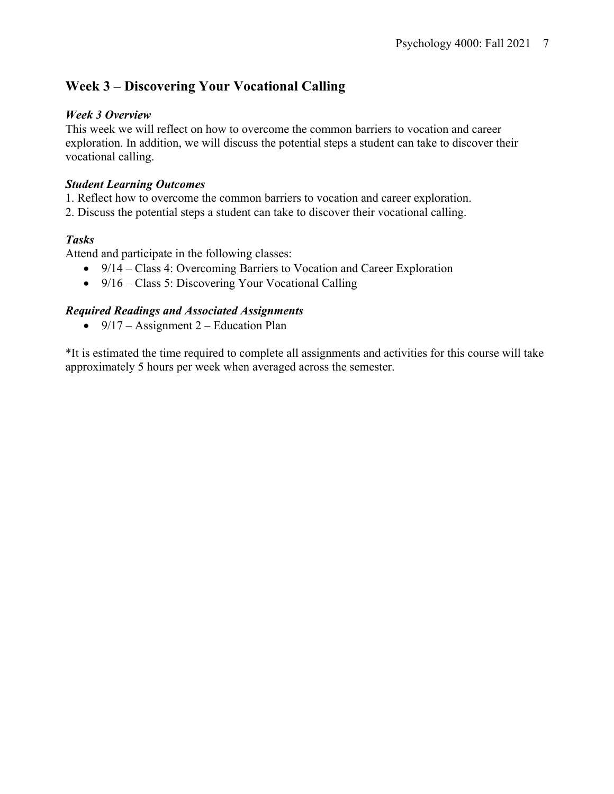# **Week 3 – Discovering Your Vocational Calling**

#### *Week 3 Overview*

This week we will reflect on how to overcome the common barriers to vocation and career exploration. In addition, we will discuss the potential steps a student can take to discover their vocational calling.

#### *Student Learning Outcomes*

1. Reflect how to overcome the common barriers to vocation and career exploration.

2. Discuss the potential steps a student can take to discover their vocational calling.

## *Tasks*

Attend and participate in the following classes:

- 9/14 Class 4: Overcoming Barriers to Vocation and Career Exploration
- 9/16 Class 5: Discovering Your Vocational Calling

## *Required Readings and Associated Assignments*

•  $9/17$  – Assignment 2 – Education Plan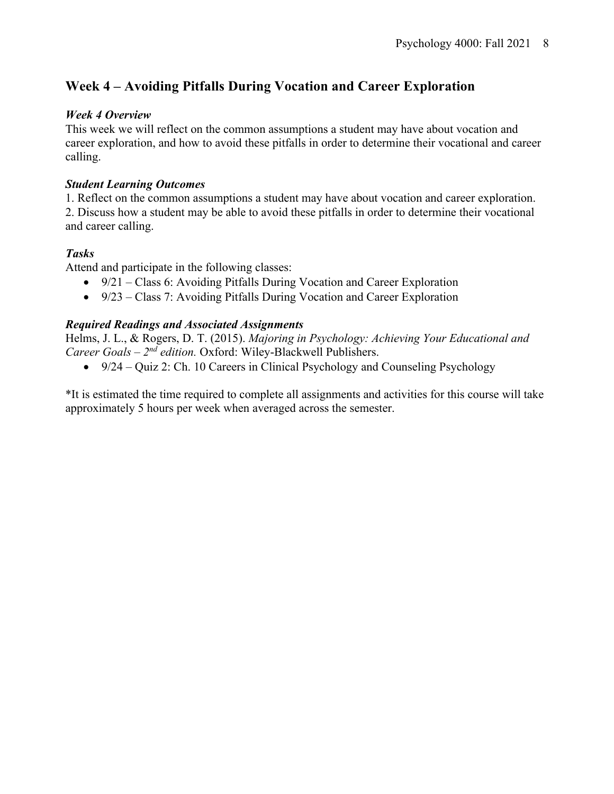# **Week 4 – Avoiding Pitfalls During Vocation and Career Exploration**

## *Week 4 Overview*

This week we will reflect on the common assumptions a student may have about vocation and career exploration, and how to avoid these pitfalls in order to determine their vocational and career calling.

## *Student Learning Outcomes*

1. Reflect on the common assumptions a student may have about vocation and career exploration. 2. Discuss how a student may be able to avoid these pitfalls in order to determine their vocational and career calling.

## *Tasks*

Attend and participate in the following classes:

- 9/21 Class 6: Avoiding Pitfalls During Vocation and Career Exploration
- 9/23 Class 7: Avoiding Pitfalls During Vocation and Career Exploration

## *Required Readings and Associated Assignments*

Helms, J. L., & Rogers, D. T. (2015). *Majoring in Psychology: Achieving Your Educational and Career Goals – 2nd edition.* Oxford: Wiley-Blackwell Publishers.

•  $9/24 - Quiz$  2: Ch. 10 Careers in Clinical Psychology and Counseling Psychology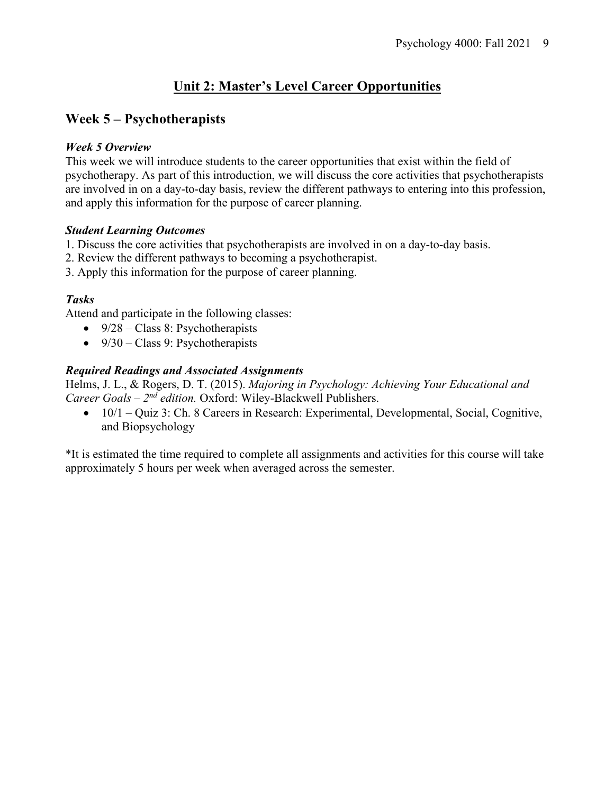# **Unit 2: Master's Level Career Opportunities**

## **Week 5 – Psychotherapists**

## *Week 5 Overview*

This week we will introduce students to the career opportunities that exist within the field of psychotherapy. As part of this introduction, we will discuss the core activities that psychotherapists are involved in on a day-to-day basis, review the different pathways to entering into this profession, and apply this information for the purpose of career planning.

## *Student Learning Outcomes*

- 1. Discuss the core activities that psychotherapists are involved in on a day-to-day basis.
- 2. Review the different pathways to becoming a psychotherapist.
- 3. Apply this information for the purpose of career planning.

## *Tasks*

Attend and participate in the following classes:

- $9/28 Class 8$ : Psychotherapists
- $9/30 Class 9$ : Psychotherapists

## *Required Readings and Associated Assignments*

Helms, J. L., & Rogers, D. T. (2015). *Majoring in Psychology: Achieving Your Educational and Career Goals – 2nd edition.* Oxford: Wiley-Blackwell Publishers.

• 10/1 – Quiz 3: Ch. 8 Careers in Research: Experimental, Developmental, Social, Cognitive, and Biopsychology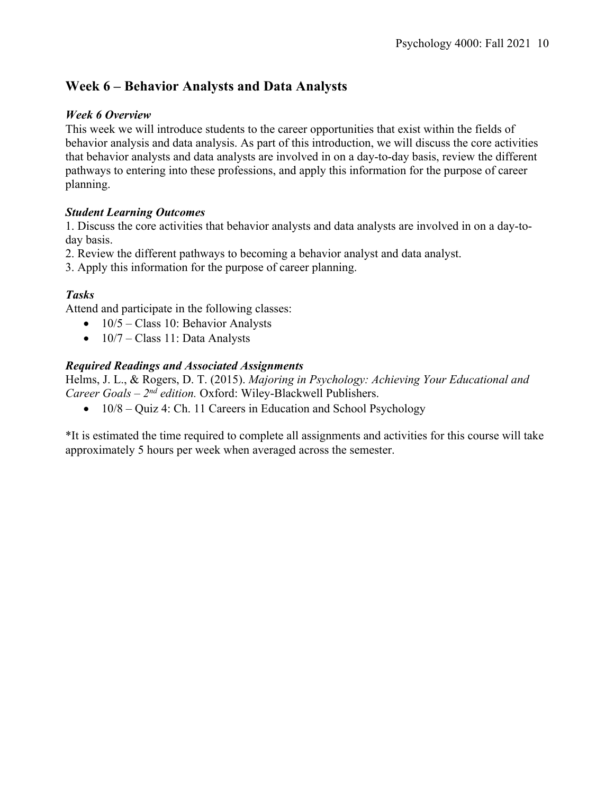# **Week 6 – Behavior Analysts and Data Analysts**

## *Week 6 Overview*

This week we will introduce students to the career opportunities that exist within the fields of behavior analysis and data analysis. As part of this introduction, we will discuss the core activities that behavior analysts and data analysts are involved in on a day-to-day basis, review the different pathways to entering into these professions, and apply this information for the purpose of career planning.

## *Student Learning Outcomes*

1. Discuss the core activities that behavior analysts and data analysts are involved in on a day-today basis.

2. Review the different pathways to becoming a behavior analyst and data analyst.

3. Apply this information for the purpose of career planning.

## *Tasks*

Attend and participate in the following classes:

- $10/5$  Class 10: Behavior Analysts
- $\bullet$  10/7 Class 11: Data Analysts

## *Required Readings and Associated Assignments*

Helms, J. L., & Rogers, D. T. (2015). *Majoring in Psychology: Achieving Your Educational and Career Goals – 2nd edition.* Oxford: Wiley-Blackwell Publishers.

 $\bullet$  10/8 – Quiz 4: Ch. 11 Careers in Education and School Psychology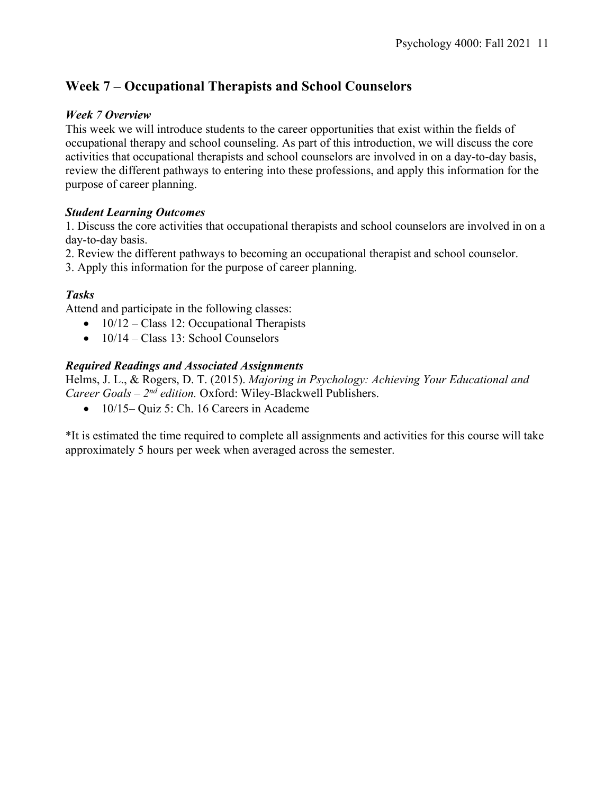# **Week 7 – Occupational Therapists and School Counselors**

## *Week 7 Overview*

This week we will introduce students to the career opportunities that exist within the fields of occupational therapy and school counseling. As part of this introduction, we will discuss the core activities that occupational therapists and school counselors are involved in on a day-to-day basis, review the different pathways to entering into these professions, and apply this information for the purpose of career planning.

## *Student Learning Outcomes*

1. Discuss the core activities that occupational therapists and school counselors are involved in on a day-to-day basis.

2. Review the different pathways to becoming an occupational therapist and school counselor.

3. Apply this information for the purpose of career planning.

## *Tasks*

Attend and participate in the following classes:

- $10/12 Class 12$ : Occupational Therapists
- $\bullet$  10/14 Class 13: School Counselors

## *Required Readings and Associated Assignments*

Helms, J. L., & Rogers, D. T. (2015). *Majoring in Psychology: Achieving Your Educational and Career Goals – 2nd edition.* Oxford: Wiley-Blackwell Publishers.

• 10/15– Quiz 5: Ch. 16 Careers in Academe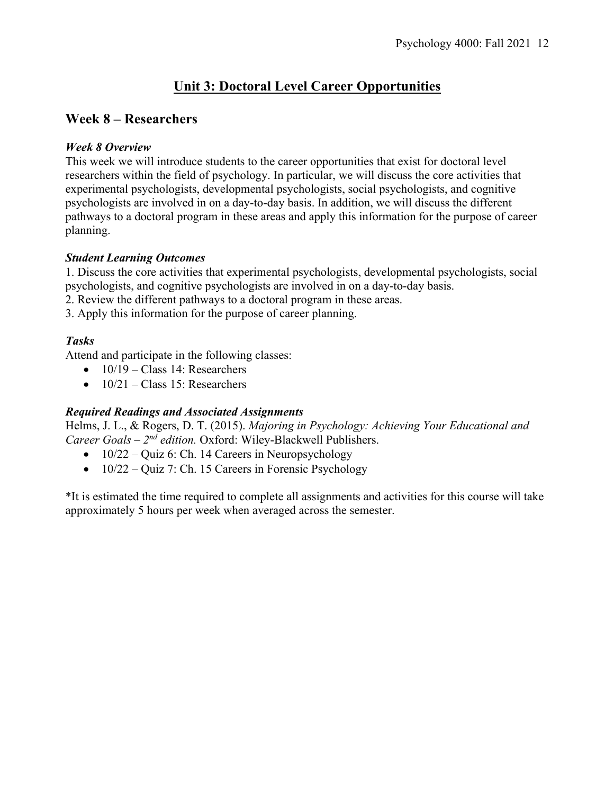# **Unit 3: Doctoral Level Career Opportunities**

## **Week 8 – Researchers**

## *Week 8 Overview*

This week we will introduce students to the career opportunities that exist for doctoral level researchers within the field of psychology. In particular, we will discuss the core activities that experimental psychologists, developmental psychologists, social psychologists, and cognitive psychologists are involved in on a day-to-day basis. In addition, we will discuss the different pathways to a doctoral program in these areas and apply this information for the purpose of career planning.

## *Student Learning Outcomes*

1. Discuss the core activities that experimental psychologists, developmental psychologists, social psychologists, and cognitive psychologists are involved in on a day-to-day basis.

- 2. Review the different pathways to a doctoral program in these areas.
- 3. Apply this information for the purpose of career planning.

## *Tasks*

Attend and participate in the following classes:

- $\bullet$  10/19 Class 14: Researchers
- $\bullet$  10/21 Class 15: Researchers

## *Required Readings and Associated Assignments*

Helms, J. L., & Rogers, D. T. (2015). *Majoring in Psychology: Achieving Your Educational and Career Goals – 2nd edition.* Oxford: Wiley-Blackwell Publishers.

- $10/22 Quiz$  6: Ch. 14 Careers in Neuropsychology
- $10/22 Quiz$  7: Ch. 15 Careers in Forensic Psychology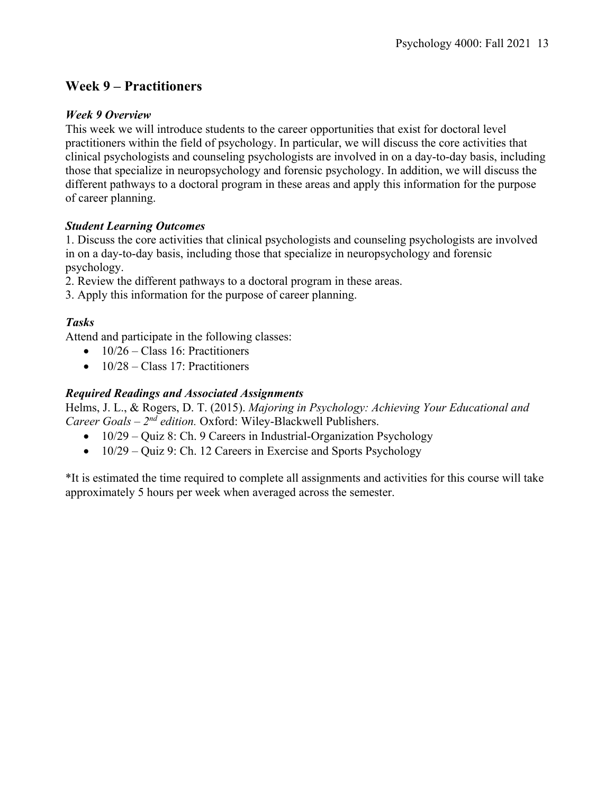## **Week 9 – Practitioners**

#### *Week 9 Overview*

This week we will introduce students to the career opportunities that exist for doctoral level practitioners within the field of psychology. In particular, we will discuss the core activities that clinical psychologists and counseling psychologists are involved in on a day-to-day basis, including those that specialize in neuropsychology and forensic psychology. In addition, we will discuss the different pathways to a doctoral program in these areas and apply this information for the purpose of career planning.

#### *Student Learning Outcomes*

1. Discuss the core activities that clinical psychologists and counseling psychologists are involved in on a day-to-day basis, including those that specialize in neuropsychology and forensic psychology.

2. Review the different pathways to a doctoral program in these areas.

3. Apply this information for the purpose of career planning.

## *Tasks*

Attend and participate in the following classes:

- $\bullet$  10/26 Class 16: Practitioners
- $10/28 Class 17$ : Practitioners

#### *Required Readings and Associated Assignments*

Helms, J. L., & Rogers, D. T. (2015). *Majoring in Psychology: Achieving Your Educational and Career Goals – 2nd edition.* Oxford: Wiley-Blackwell Publishers.

- $10/29 -$  Quiz 8: Ch. 9 Careers in Industrial-Organization Psychology
- 10/29 Quiz 9: Ch. 12 Careers in Exercise and Sports Psychology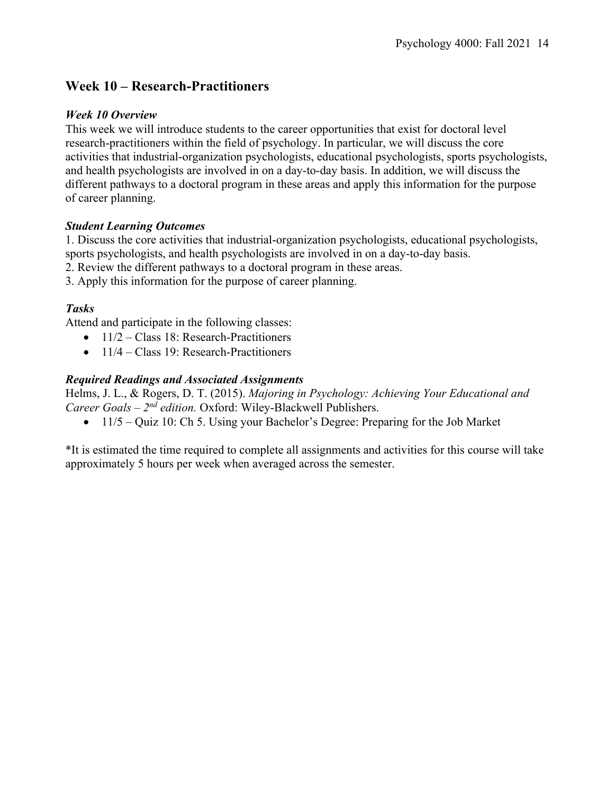## **Week 10 – Research-Practitioners**

#### *Week 10 Overview*

This week we will introduce students to the career opportunities that exist for doctoral level research-practitioners within the field of psychology. In particular, we will discuss the core activities that industrial-organization psychologists, educational psychologists, sports psychologists, and health psychologists are involved in on a day-to-day basis. In addition, we will discuss the different pathways to a doctoral program in these areas and apply this information for the purpose of career planning.

## *Student Learning Outcomes*

1. Discuss the core activities that industrial-organization psychologists, educational psychologists, sports psychologists, and health psychologists are involved in on a day-to-day basis.

2. Review the different pathways to a doctoral program in these areas.

3. Apply this information for the purpose of career planning.

## *Tasks*

Attend and participate in the following classes:

- $11/2$  Class 18: Research-Practitioners
- 11/4 Class 19: Research-Practitioners

## *Required Readings and Associated Assignments*

Helms, J. L., & Rogers, D. T. (2015). *Majoring in Psychology: Achieving Your Educational and Career Goals – 2nd edition.* Oxford: Wiley-Blackwell Publishers.

• 11/5 – Quiz 10: Ch 5. Using your Bachelor's Degree: Preparing for the Job Market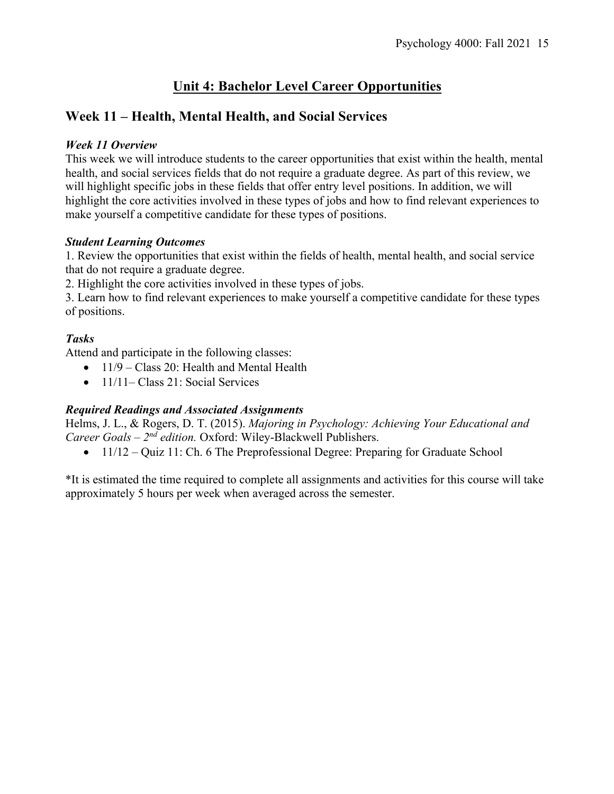# **Unit 4: Bachelor Level Career Opportunities**

# **Week 11 – Health, Mental Health, and Social Services**

## *Week 11 Overview*

This week we will introduce students to the career opportunities that exist within the health, mental health, and social services fields that do not require a graduate degree. As part of this review, we will highlight specific jobs in these fields that offer entry level positions. In addition, we will highlight the core activities involved in these types of jobs and how to find relevant experiences to make yourself a competitive candidate for these types of positions.

## *Student Learning Outcomes*

1. Review the opportunities that exist within the fields of health, mental health, and social service that do not require a graduate degree.

2. Highlight the core activities involved in these types of jobs.

3. Learn how to find relevant experiences to make yourself a competitive candidate for these types of positions.

## *Tasks*

Attend and participate in the following classes:

- $11/9 Class 20$ : Health and Mental Health
- 11/11– Class 21: Social Services

## *Required Readings and Associated Assignments*

Helms, J. L., & Rogers, D. T. (2015). *Majoring in Psychology: Achieving Your Educational and Career Goals – 2nd edition.* Oxford: Wiley-Blackwell Publishers.

• 11/12 – Quiz 11: Ch. 6 The Preprofessional Degree: Preparing for Graduate School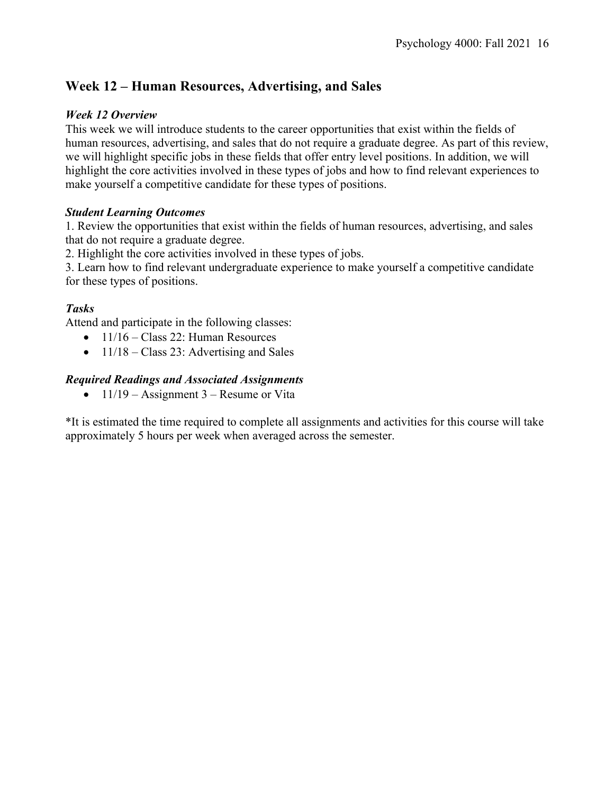# **Week 12 – Human Resources, Advertising, and Sales**

## *Week 12 Overview*

This week we will introduce students to the career opportunities that exist within the fields of human resources, advertising, and sales that do not require a graduate degree. As part of this review, we will highlight specific jobs in these fields that offer entry level positions. In addition, we will highlight the core activities involved in these types of jobs and how to find relevant experiences to make yourself a competitive candidate for these types of positions.

## *Student Learning Outcomes*

1. Review the opportunities that exist within the fields of human resources, advertising, and sales that do not require a graduate degree.

2. Highlight the core activities involved in these types of jobs.

3. Learn how to find relevant undergraduate experience to make yourself a competitive candidate for these types of positions.

## *Tasks*

Attend and participate in the following classes:

- $11/16 Class 22$ : Human Resources
- $11/18 Class 23$ : Advertising and Sales

## *Required Readings and Associated Assignments*

•  $11/19$  – Assignment 3 – Resume or Vita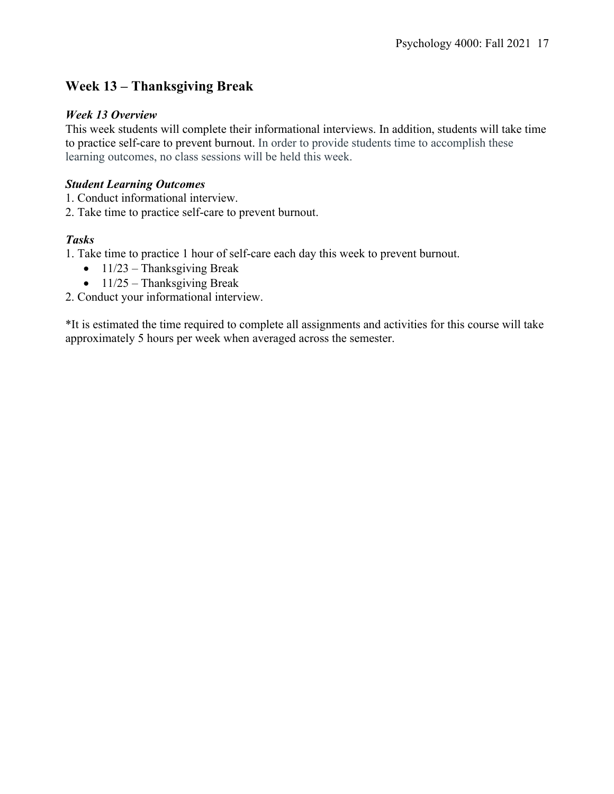# **Week 13 – Thanksgiving Break**

## *Week 13 Overview*

This week students will complete their informational interviews. In addition, students will take time to practice self-care to prevent burnout. In order to provide students time to accomplish these learning outcomes, no class sessions will be held this week.

## *Student Learning Outcomes*

1. Conduct informational interview.

2. Take time to practice self-care to prevent burnout.

## *Tasks*

1. Take time to practice 1 hour of self-care each day this week to prevent burnout.

- $11/23$  Thanksgiving Break
- $\bullet$  11/25 Thanksgiving Break

2. Conduct your informational interview.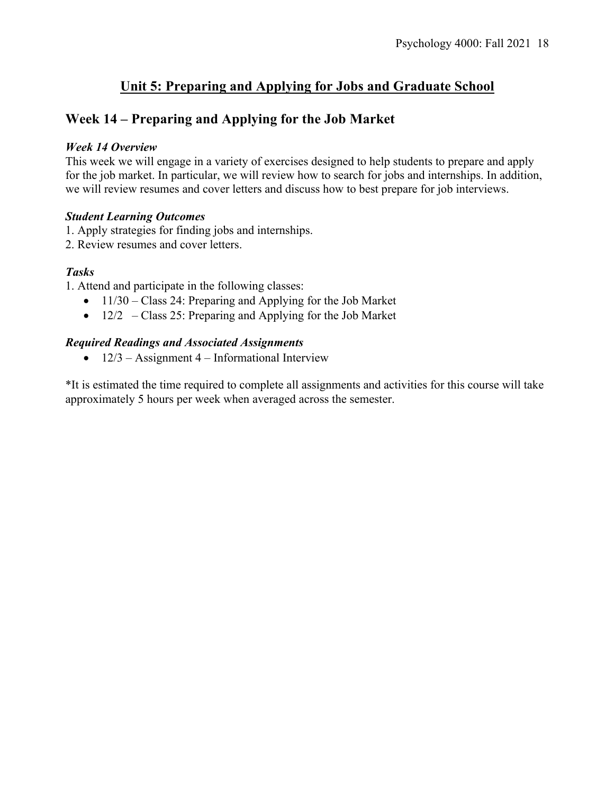# **Unit 5: Preparing and Applying for Jobs and Graduate School**

## **Week 14 – Preparing and Applying for the Job Market**

#### *Week 14 Overview*

This week we will engage in a variety of exercises designed to help students to prepare and apply for the job market. In particular, we will review how to search for jobs and internships. In addition, we will review resumes and cover letters and discuss how to best prepare for job interviews.

#### *Student Learning Outcomes*

1. Apply strategies for finding jobs and internships.

2. Review resumes and cover letters.

## *Tasks*

1. Attend and participate in the following classes:

- 11/30 Class 24: Preparing and Applying for the Job Market
- 12/2 Class 25: Preparing and Applying for the Job Market

#### *Required Readings and Associated Assignments*

•  $12/3$  – Assignment 4 – Informational Interview